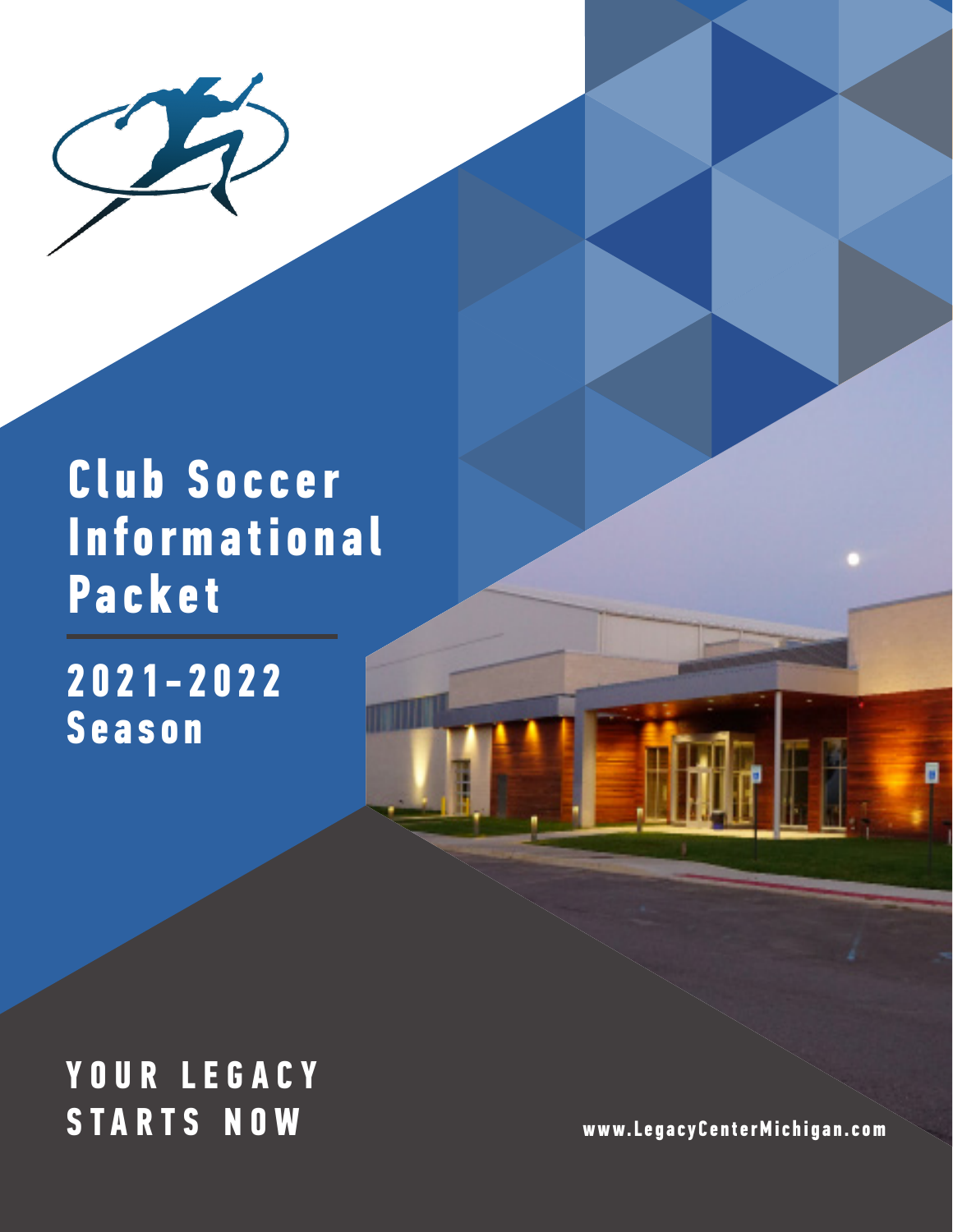

# **Club Soccer Informational Packet**

**2021-2022 Season**

### **Y O U R L E G A C Y STARTS NOW www.LegacyCenterMichigan.com**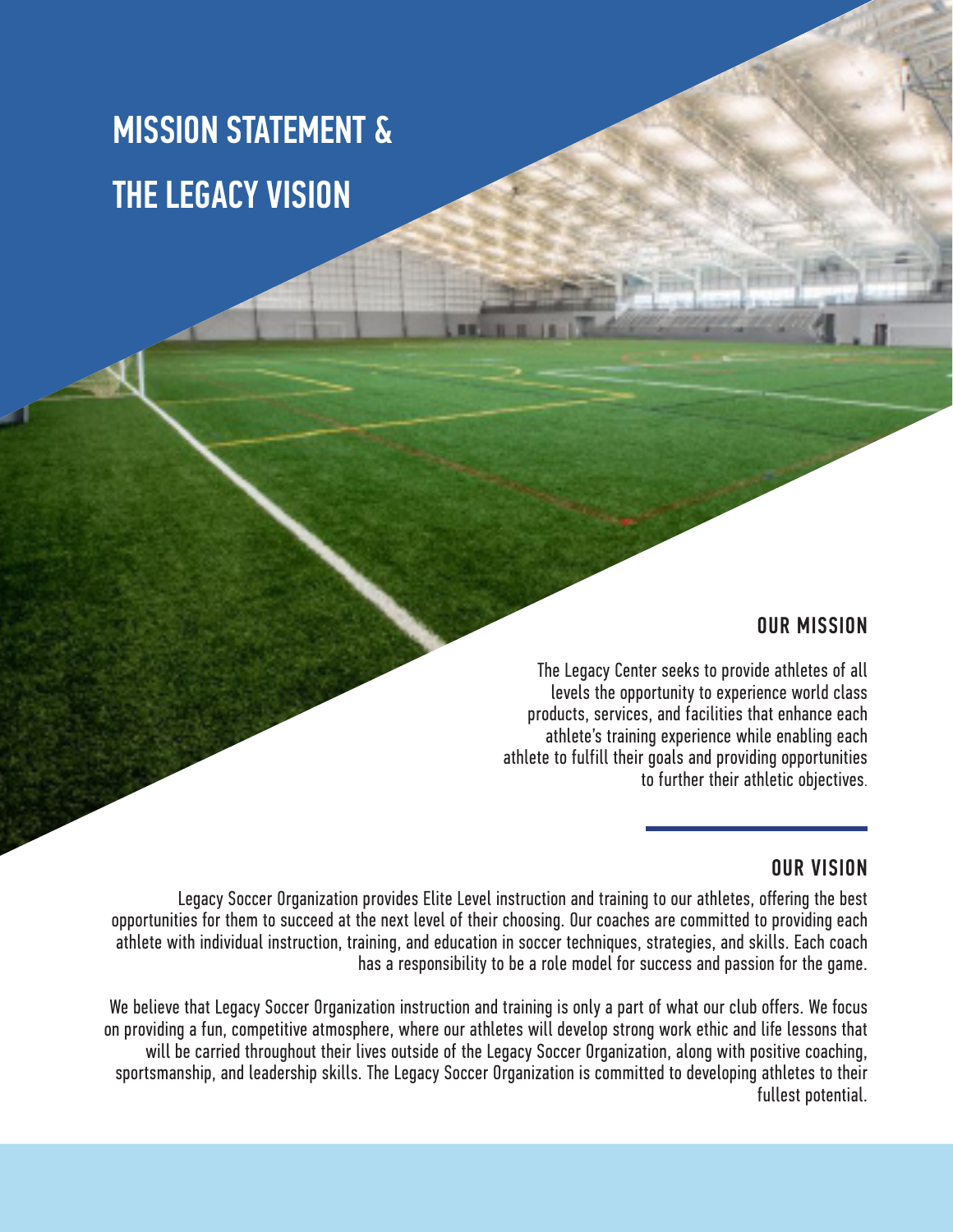# MISSION STATEMENT & THE LEGACY VISION

### OUR MISSION

The Legacy Center seeks to provide athletes of all levels the opportunity to experience world class products, services, and facilities that enhance each athlete's training experience while enabling each athlete to fulfill their goals and providing opportunities to further their athletic objectives.

### OUR VISION

Legacy Soccer Organization provides Elite Level instruction and training to our athletes, offering the best opportunities for them to succeed at the next level of their choosing. Our coaches are committed to providing each athlete with individual instruction, training, and education in soccer techniques, strategies, and skills. Each coach has a responsibility to be a role model for success and passion for the game.

We believe that Legacy Soccer Organization instruction and training is only a part of what our club offers. We focus on providing a fun, competitive atmosphere, where our athletes will develop strong work ethic and life lessons that will be carried throughout their lives outside of the Legacy Soccer Organization, along with positive coaching, sportsmanship, and leadership skills. The Legacy Soccer Organization is committed to developing athletes to their fullest potential.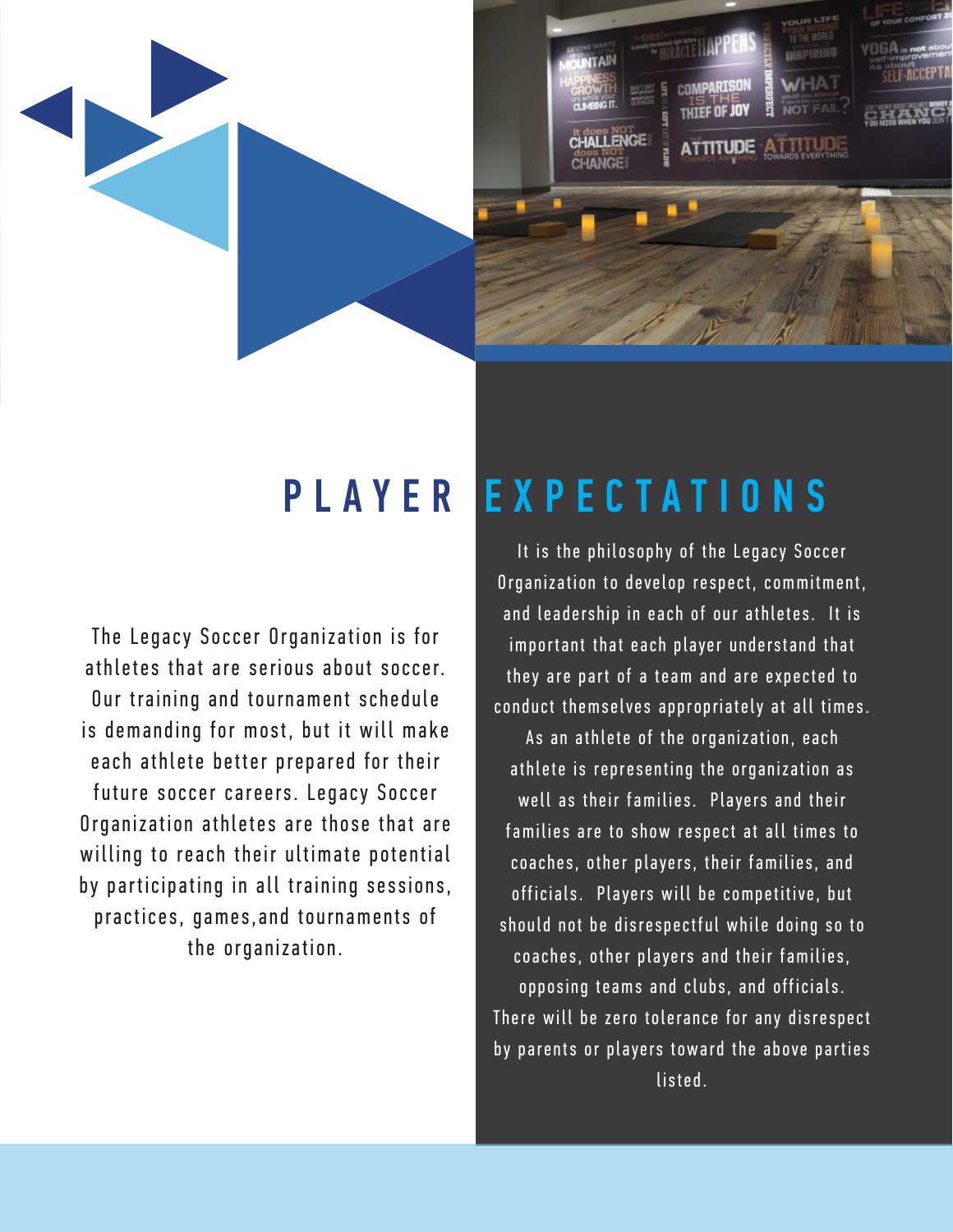

The Legacy Soccer Organization is for athletes that are serious about soccer. Our training and tournament schedule is demanding for most, but it will make e a ch a th lete better prepared for their future soccer careers. Legacy Soccer Organization athletes are those that are willing to reach their ultimate potential by participating in all training sessions, practices, games, and tournaments of the organization.

# PLAYER EXPECTATIONS

It is the philosophy of the Legacy Soccer Organization to develop respect, commitment, and leadership in each of our athletes. It is important that each player understand that they are part of a team and are expected to conduct themselves appropriately at all times. As an athlete of the organization, each athlete is representing the organization as well as their families. Players and their families are to show respect at all times to coaches, other players, their families, and officials. Players will be competitive, but should not be disrespectful while doing so to coaches, other players and their families, opposing teams and clubs, and officials. There will be zero tolerance for any disrespect by parents or players toward the above parties listed.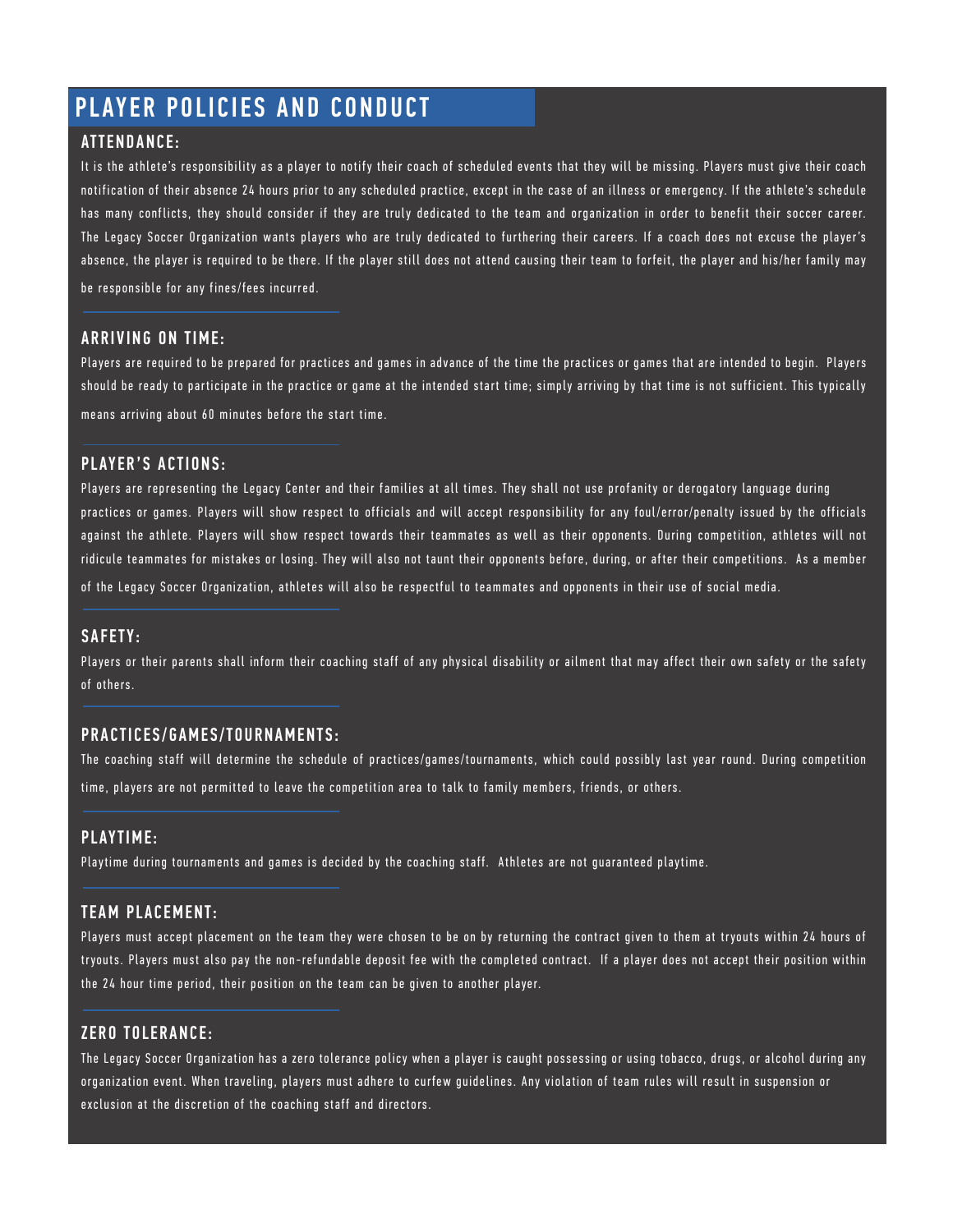### PLAYER POLICIES AND CONDUCT

### ATTENDANCE:

It is the athlete's responsibility as a player to notify their coach of scheduled events that they will be missing. Players must give their coach notification of their absence 24 hours prior to any scheduled practice, except in the case of an illness or emergency. If the athlete's schedule has many conflicts, they should consider if they are truly dedicated to the team and organization in order to benefit their soccer career. The Legacy Soccer Organization wants players who are truly dedicated to furthering their careers. If a coach does not excuse the player's absence, the player is required to be there. If the player still does not attend causing their team to forfeit, the player and his/her family may be responsible for any fines/fees incurred.

### ARRIVING ON TIME:

Players are required to be prepared for practices and games in advance of the time the practices or games that are intended to begin. Players should be ready to participate in the practice or game at the intended start time; simply arriving by that time is not sufficient. This typically means arriving about 60 minutes before the start time.

### PLAYER'S ACTIONS:

Players are representing the Legacy Center and their families at all times. They shall not use profanity or derogatory language during practices or games. Players will show respect to officials and will accept responsibility for any foul/error/penalty issued by the officials against the athlete. Players will show respect towards their teammates as well as their opponents. During competition, athletes will not ridicule teammates for mistakes or losing. They will also not taunt their opponents before, during, or after their competitions. As a member of the Legacy Soccer Organization, athletes will also be respectful to teammates and opponents in their use of social media.

### SAFETY:

Players or their parents shall inform their coaching staff of any physical disability or ailment that may affect their own safety or the safety of others.

### PRACTICES/GAMES/TOURNAMENTS:

The coaching staff will determine the schedule of practices/games/tournaments, which could possibly last year round. During competition time, players are not permitted to leave the competition area to talk to family members, friends, or others.

### PLAYTIME:

Playtime during tournaments and games is decided by the coaching staff. Athletes are not guaranteed playtime.

### TEAM PLACEMENT:

Players must accept placement on the team they were chosen to be on by returning the contract given to them at tryouts within 24 hours of tryouts. Players must also pay the non-refundable deposit fee with the completed contract. If a player does not accept their position within the 24 hour time period, their position on the team can be given to another player.

### ZERO TOLERANCE:

The Legacy Soccer Organization has a zero tolerance policy when a player is caught possessing or using tobacco, drugs, or alcohol during any organization event. When traveling, players must adhere to curfew guidelines. Any violation of team rules will result in suspension or exclusion at the discretion of the coaching staff and directors.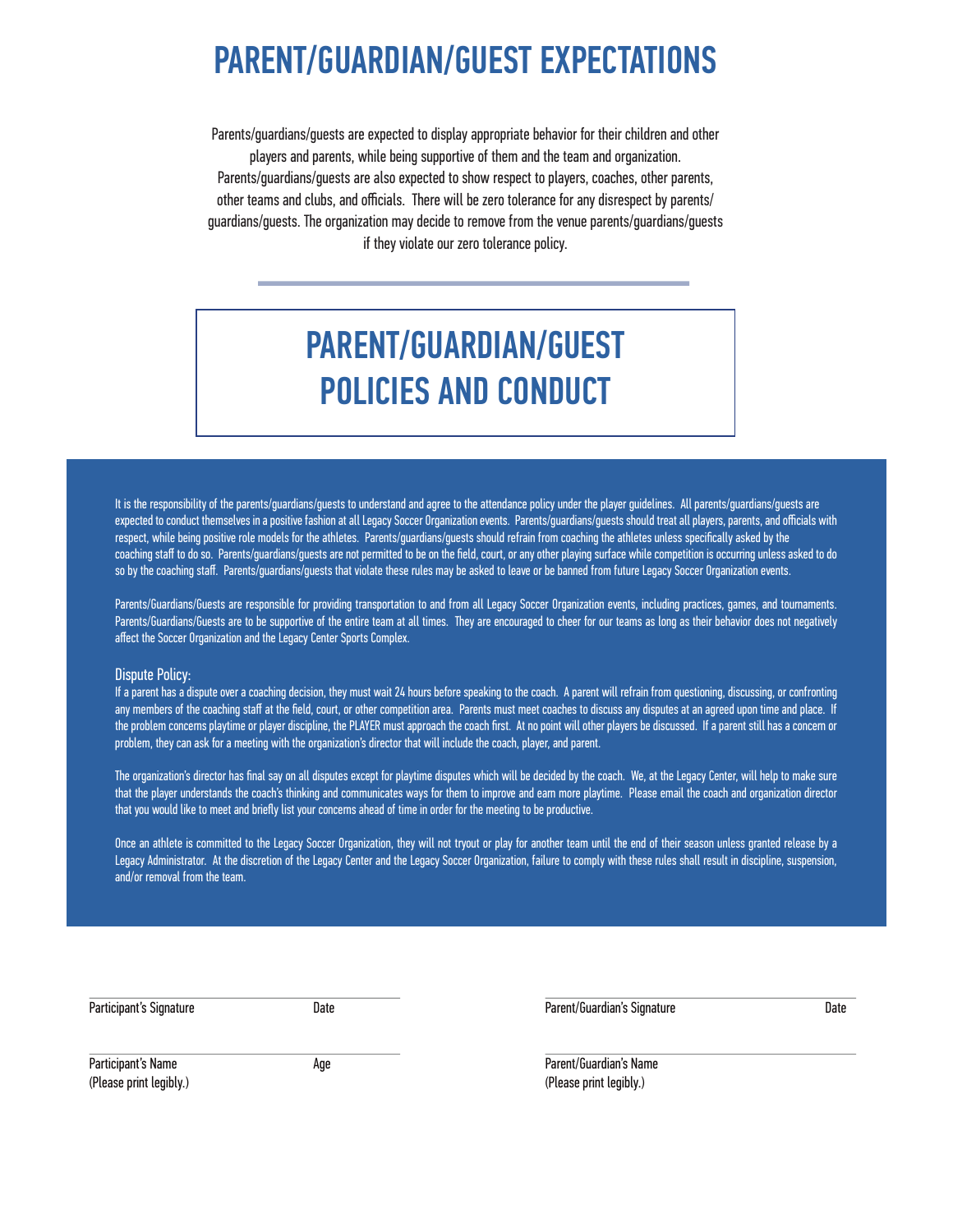### PARENT/GUARDIAN/GUEST EXPECTATIONS

Parents/guardians/guests are expected to display appropriate behavior for their children and other players and parents, while being supportive of them and the team and organization. Parents/guardians/guests are also expected to show respect to players, coaches, other parents, other teams and clubs, and officials. There will be zero tolerance for any disrespect by parents/ guardians/guests. The organization may decide to remove from the venue parents/guardians/guests if they violate our zero tolerance policy.

### PARENT/GUARDIAN/GUEST POLICIES AND CONDUCT

It is the responsibility of the parents/guardians/guests to understand and agree to the attendance policy under the player guidelines. All parents/guardians/guests are expected to conduct themselves in a positive fashion at all Legacy Soccer Organization events. Parents/guardians/guests should treat all players, parents, and officials with respect, while being positive role models for the athletes. Parents/guardians/guests should refrain from coaching the athletes unless specifically asked by the coaching staff to do so. Parents/guardians/guests are not permitted to be on the field, court, or any other playing surface while competition is occurring unless asked to do so by the coaching staff. Parents/guardians/guests that violate these rules may be asked to leave or be banned from future Legacy Soccer Organization events.

Parents/Guardians/Guests are responsible for providing transportation to and from all Legacy Soccer Organization events, including practices, games, and tournaments. Parents/Guardians/Guests are to be supportive of the entire team at all times. They are encouraged to cheer for our teams as long as their behavior does not negatively affect the Soccer Organization and the Legacy Center Sports Complex.

#### Dispute Policy:

If a parent has a dispute over a coaching decision, they must wait 24 hours before speaking to the coach. A parent will refrain from questioning, discussing, or confronting any members of the coaching staff at the field, court, or other competition area. Parents must meet coaches to discuss any disputes at an agreed upon time and place. If the problem concerns playtime or player discipline, the PLAYER must approach the coach first. At no point will other players be discussed. If a parent still has a concern or problem, they can ask for a meeting with the organization's director that will include the coach, player, and parent.

The organization's director has final say on all disputes except for playtime disputes which will be decided by the coach. We, at the Legacy Center, will help to make sure that the player understands the coach's thinking and communicates ways for them to improve and earn more playtime. Please email the coach and organization director that you would like to meet and briefly list your concerns ahead of time in order for the meeting to be productive.

Once an athlete is committed to the Legacy Soccer Organization, they will not tryout or play for another team until the end of their season unless granted release by a Legacy Administrator. At the discretion of the Legacy Center and the Legacy Soccer Organization, failure to comply with these rules shall result in discipline, suspension, and/or removal from the team.

| Participant's Signature | Date |
|-------------------------|------|
|-------------------------|------|

Parent/Guardian's Signature Date

Participant's Name **Age 1986** (Please print legibly.)

Parent/Guardian's Name (Please print legibly.)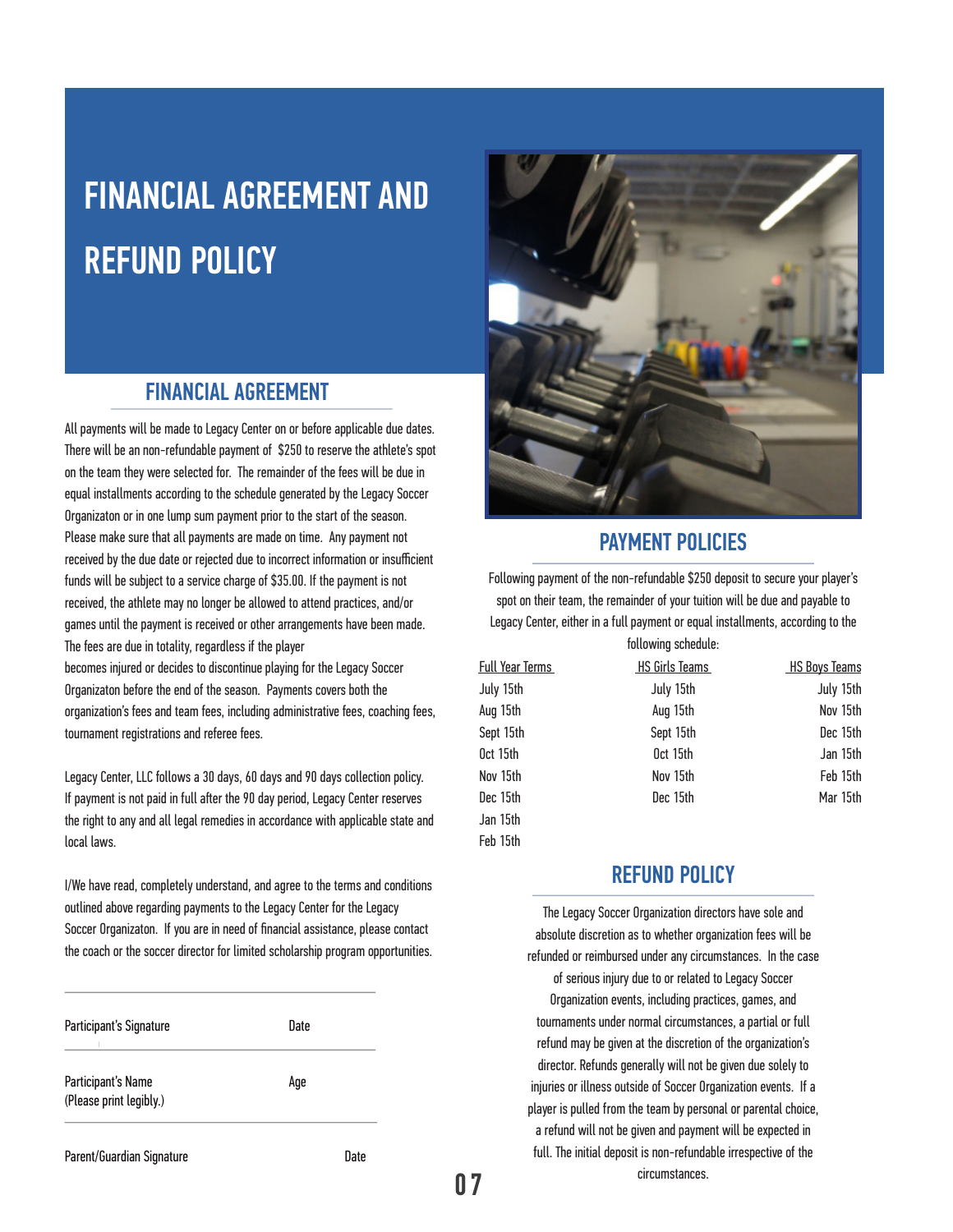# FINANCIAL AGREEMENT AND REFUND POLICY

### FINANCIAL AGREEMENT

All payments will be made to Legacy Center on or before applicable due dates. There will be an non-refundable payment of \$250 to reserve the athlete's spot on the team they were selected for. The remainder of the fees will be due in equal installments according to the schedule generated by the Legacy Soccer Organizaton or in one lump sum payment prior to the start of the season. Please make sure that all payments are made on time. Any payment not received by the due date or rejected due to incorrect information or insufficient funds will be subject to a service charge of \$35.00. If the payment is not received, the athlete may no longer be allowed to attend practices, and/or games until the payment is received or other arrangements have been made. The fees are due in totality, regardless if the player

becomes injured or decides to discontinue playing for the Legacy Soccer Organizaton before the end of the season. Payments covers both the organization's fees and team fees, including administrative fees, coaching fees, tournament registrations and referee fees.

Legacy Center, LLC follows a 30 days, 60 days and 90 days collection policy. If payment is not paid in full after the 90 day period, Legacy Center reserves the right to any and all legal remedies in accordance with applicable state and local laws.

I/We have read, completely understand, and agree to the terms and conditions outlined above regarding payments to the Legacy Center for the Legacy Soccer Organizaton. If you are in need of financial assistance, please contact the coach or the soccer director for limited scholarship program opportunities.

| Participant's Signature                       | Date |  |
|-----------------------------------------------|------|--|
| Participant's Name<br>(Please print legibly.) | Aqe  |  |





### PAYMENT POLICIES

Following payment of the non-refundable \$250 deposit to secure your player's spot on their team, the remainder of your tuition will be due and payable to Legacy Center, either in a full payment or equal installments, according to the following schedule:

| <b>Full Year Terms</b> | <b>HS Girls Teams</b> | <b>HS Boys Teams</b> |
|------------------------|-----------------------|----------------------|
| July 15th              | July 15th             | July 15th            |
| Aug 15th               | Aug 15th              | Nov 15th             |
| Sept 15th              | Sept 15th             | Dec 15th             |
| Oct 15th               | Oct 15th              | Jan 15th             |
| Nov 15th               | Nov 15th              | Feb 15th             |
| Dec 15th               | Dec 15th              | Mar 15th             |
| Jan 15th               |                       |                      |

### REFUND POLICY

The Legacy Soccer Organization directors have sole and absolute discretion as to whether organization fees will be refunded or reimbursed under any circumstances. In the case of serious injury due to or related to Legacy Soccer Organization events, including practices, games, and tournaments under normal circumstances, a partial or full refund may be given at the discretion of the organization's director. Refunds generally will not be given due solely to injuries or illness outside of Soccer Organization events. If a player is pulled from the team by personal or parental choice, a refund will not be given and payment will be expected in

full. The initial deposit is non-refundable irrespective of the circumstances.

Feb 15th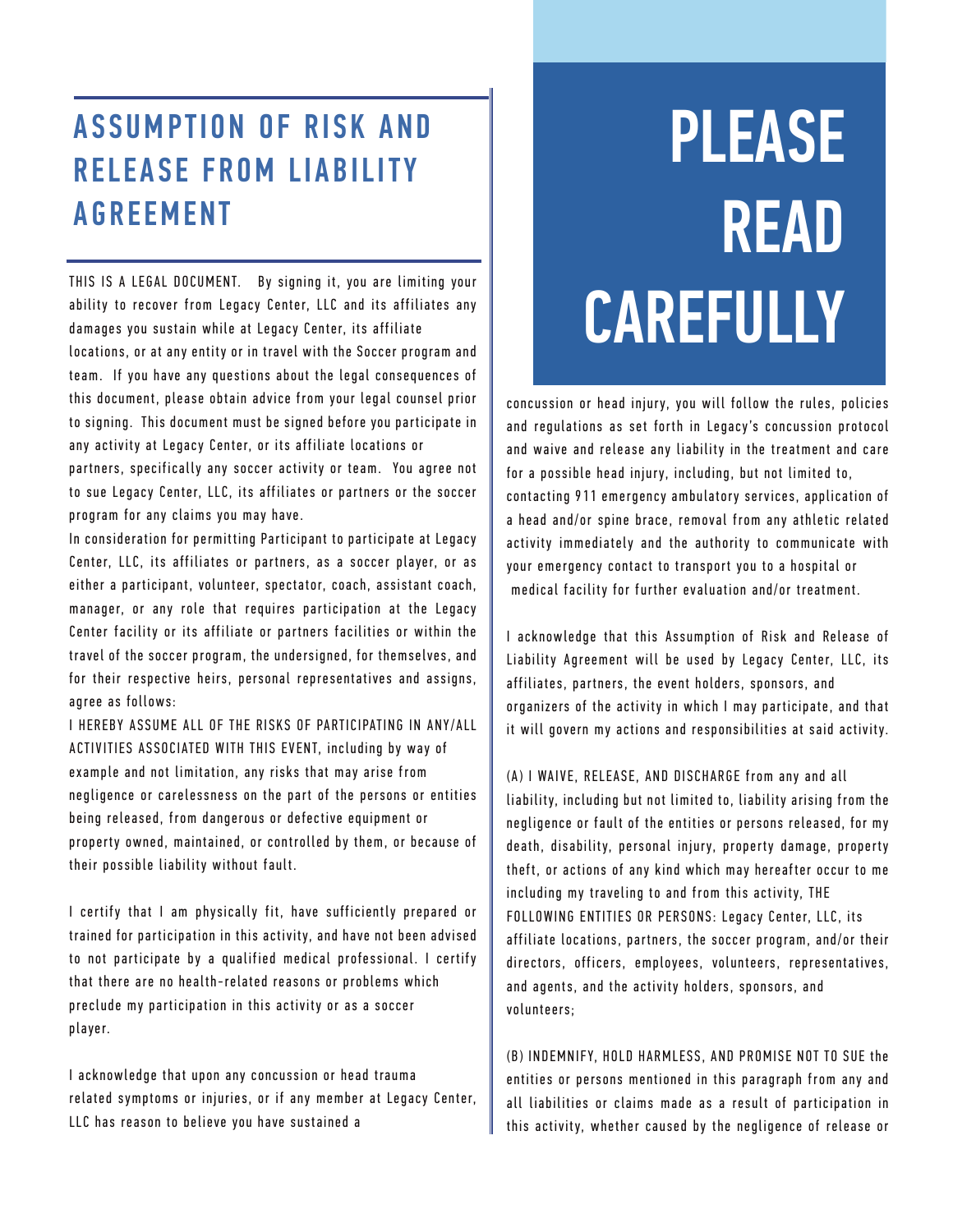### ASSUMPTION OF RISK AND RELEASE FROM LIABILITY AGREEMENT

THIS IS A LEGAL DOCUMENT. By signing it, you are limiting your ability to recover from Legacy Center, LLC and its affiliates any damages you sustain while at Legacy Center, its affiliate locations, or at any entity or in travel with the Soccer program and team. If you have any questions about the legal consequences of this document, please obtain advice from your legal counsel prior to signing. This document must be signed before you participate in any activity at Legacy Center, or its affiliate locations or partners, specifically any soccer activity or team. You agree not to sue Legacy Center, LLC, its affiliates or partners or the soccer program for any claims you may have.

In consideration for permitting Participant to participate at Legacy Center, LLC, its affiliates or partners, as a soccer player, or as either a participant, volunteer, spectator, coach, assistant coach, manager, or any role that requires participation at the Legacy Center facility or its affiliate or partners facilities or within the travel of the soccer program, the undersigned, for themselves, and for their respective heirs, personal representatives and assigns, agree as follows:

I HEREBY ASSUME ALL OF THE RISKS OF PARTICIPATING IN ANY/ALL ACTIVITIES ASSOCIATED WITH THIS EVENT, including by way of example and not limitation, any risks that may arise from negligence or carelessness on the part of the persons or entities being released, from dangerous or defective equipment or property owned, maintained, or controlled by them, or because of their possible liability without fault.

I certify that I am physically fit, have sufficiently prepared or trained for participation in this activity, and have not been advised to not participate by a qualified medical professional. I certify that there are no health-related reasons or problems which preclude my participation in this activity or as a soccer p la ye r.

I acknowledge that upon any concussion or head trauma related symptoms or injuries, or if any member at Legacy Center, LLC has reason to believe you have sustained a

# PLEASE READ **CAREFULLY**

concussion or head injury, you will follow the rules, policies and regulations as set forth in Legacy's concussion protocol and waive and release any liability in the treatment and care for a possible head injury, including, but not limited to, contacting 911 emergency ambulatory services, application of a head and/or spine brace, removal from any athletic related activity immediately and the authority to communicate with your emergency contact to transport you to a hospital or medical facility for further evaluation and/or treatment.

I acknowledge that this Assumption of Risk and Release of Liability Agreement will be used by Legacy Center, LLC, its affiliates, partners, the event holders, sponsors, and organizers of the activity in which I may participate, and that it will govern my actions and responsibilities at said activity.

(A) I WAIVE, RELEASE, AND DISCHARGE from any and all liability, including but not limited to, liability arising from the negligence or fault of the entities or persons released, for my death, disability, personal injury, property damage, property theft, or actions of any kind which may hereafter occur to me including my traveling to and from this activity, THE FOLLOWING ENTITIES OR PERSONS: Legacy Center, LLC, its affiliate locations, partners, the soccer program, and/or their directors, officers, employees, volunteers, representatives, and agents, and the activity holders, sponsors, and volunteers:

(B) INDEMNIFY, HOLD HARMLESS, AND PROMISE NOT TO SUE the entities or persons mentioned in this paragraph from any and all liabilities or claims made as a result of participation in this activity, whether caused by the negligence of release or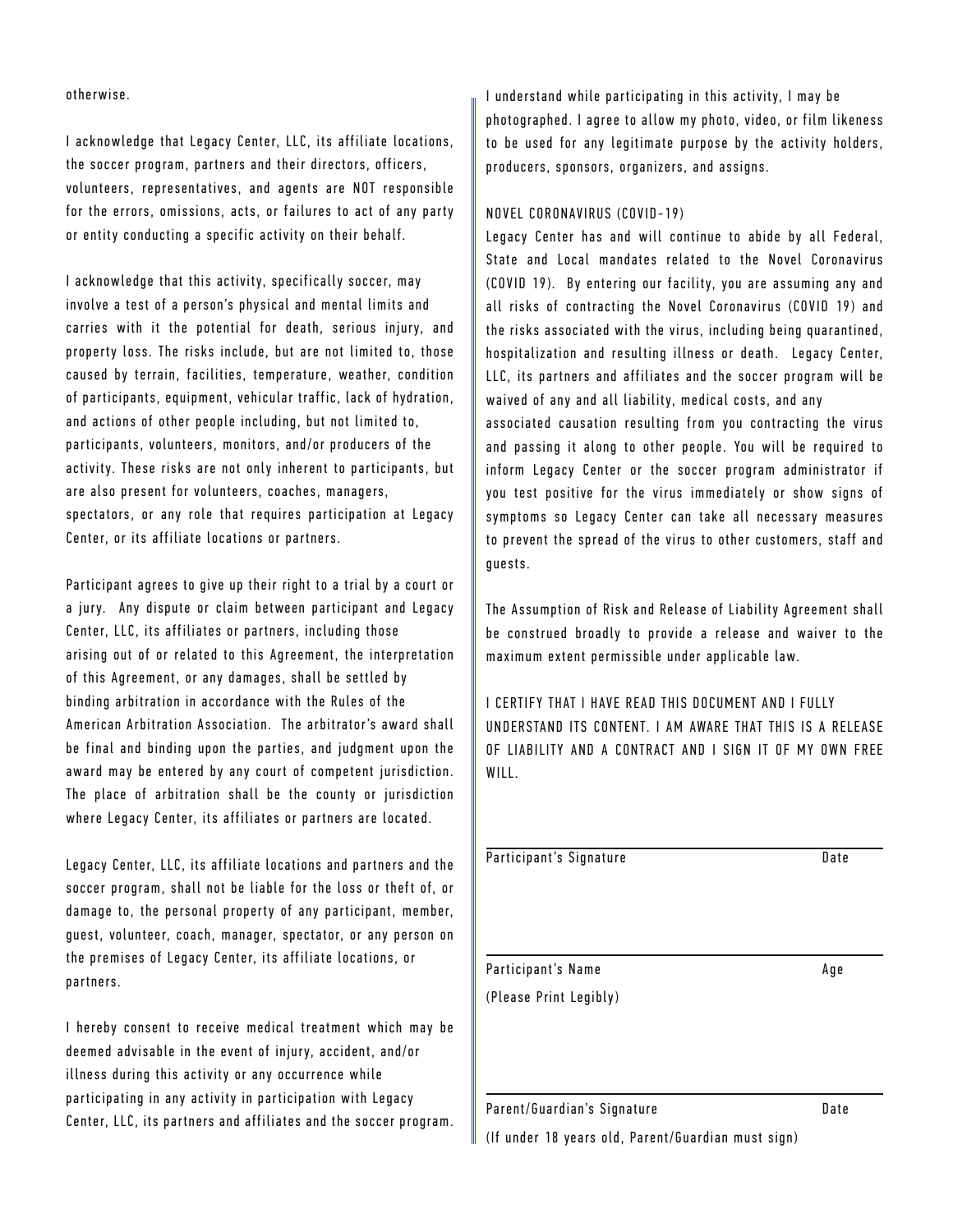otherwise.

I acknowledge that Legacy Center, LLC, its affiliate locations, the soccer program, partners and their directors, officers, volunteers, representatives, and agents are NOT responsible for the errors, omissions, acts, or failures to act of any party or entity conducting a specific activity on their behalf.

I acknowledge that this activity, specifically soccer, may involve a test of a person's physical and mental limits and carries with it the potential for death, serious injury, and property loss. The risks include, but are not limited to, those caused by terrain, facilities, temperature, weather, condition of participants, equipment, vehicular traffic, lack of hydration, and actions of other people including, but not limited to, participants, volunteers, monitors, and/or producers of the activity. These risks are not only inherent to participants, but are also present for volunteers, coaches, managers, spectators, or any role that requires participation at Legacy Center, or its affiliate locations or partners.

Participant agrees to give up their right to a trial by a court or a jury. Any dispute or claim between participant and Legacy Center, LLC, its affiliates or partners, including those arising out of or related to this Agreement, the interpretation of this Agreement, or any damages, shall be settled by binding arbitration in accordance with the Rules of the American Arbitration Association. The arbitrator's award shall be final and binding upon the parties, and judgment upon the award may be entered by any court of competent jurisdiction. The place of arbitration shall be the county or jurisdiction where Legacy Center, its affiliates or partners are located.

Legacy Center, LLC, its affiliate locations and partners and the soccer program, shall not be liable for the loss or theft of, or damage to, the personal property of any participant, member, guest, volunteer, coach, manager, spectator, or any person on the premises of Legacy Center, its affiliate locations, or partners.

I hereby consent to receive medical treatment which may be deemed advisable in the event of injury, accident, and/or illness during this activity or any occurrence while participating in any activity in participation with Legacy Center, LLC, its partners and affiliates and the soccer program. I understand while participating in this activity, I may be photographed. I agree to allow my photo, video, or film likeness to be used for any legitimate purpose by the activity holders, producers, sponsors, organizers, and assigns.

#### NOVEL CORONAVIRUS (COVID-19)

Legacy Center has and will continue to abide by all Federal, State and Local mandates related to the Novel Coronavirus (COVID 19). By entering our facility, you are assuming any and all risks of contracting the Novel Coronavirus (COVID 19) and the risks associated with the virus, including being quarantined, hospitalization and resulting illness or death. Legacy Center, LLC, its partners and affiliates and the soccer program will be waived of any and all liability, medical costs, and any

associated causation resulting from you contracting the virus and passing it along to other people. You will be required to inform Legacy Center or the soccer program administrator if you test positive for the virus immediately or show signs of symptoms so Legacy Center can take all necessary measures to prevent the spread of the virus to other customers, staff and guests.

The Assumption of Risk and Release of Liability Agreement shall be construed broadly to provide a release and waiver to the maximum extent permissible under applicable law.

I CERTIFY THAT I HAVE READ THIS DOCUMENT AND I FULLY UNDERSTAND ITS CONTENT. I AM AWARE THAT THIS IS A RELEASE OF LIARILITY AND A CONTRACT AND I SIGN IT OF MY OWN FRFF WILL.

| Participant's Signature | Date |
|-------------------------|------|
|                         |      |
|                         |      |
|                         |      |
|                         |      |
|                         |      |
| Participant's Name      |      |
|                         | Age  |
|                         |      |
| (Please Print Legibly)  |      |
|                         |      |
|                         |      |
|                         |      |

Parent/Guardian's Signature **manufacture** Date

(If under 18 years old, Parent/Guardian must sign)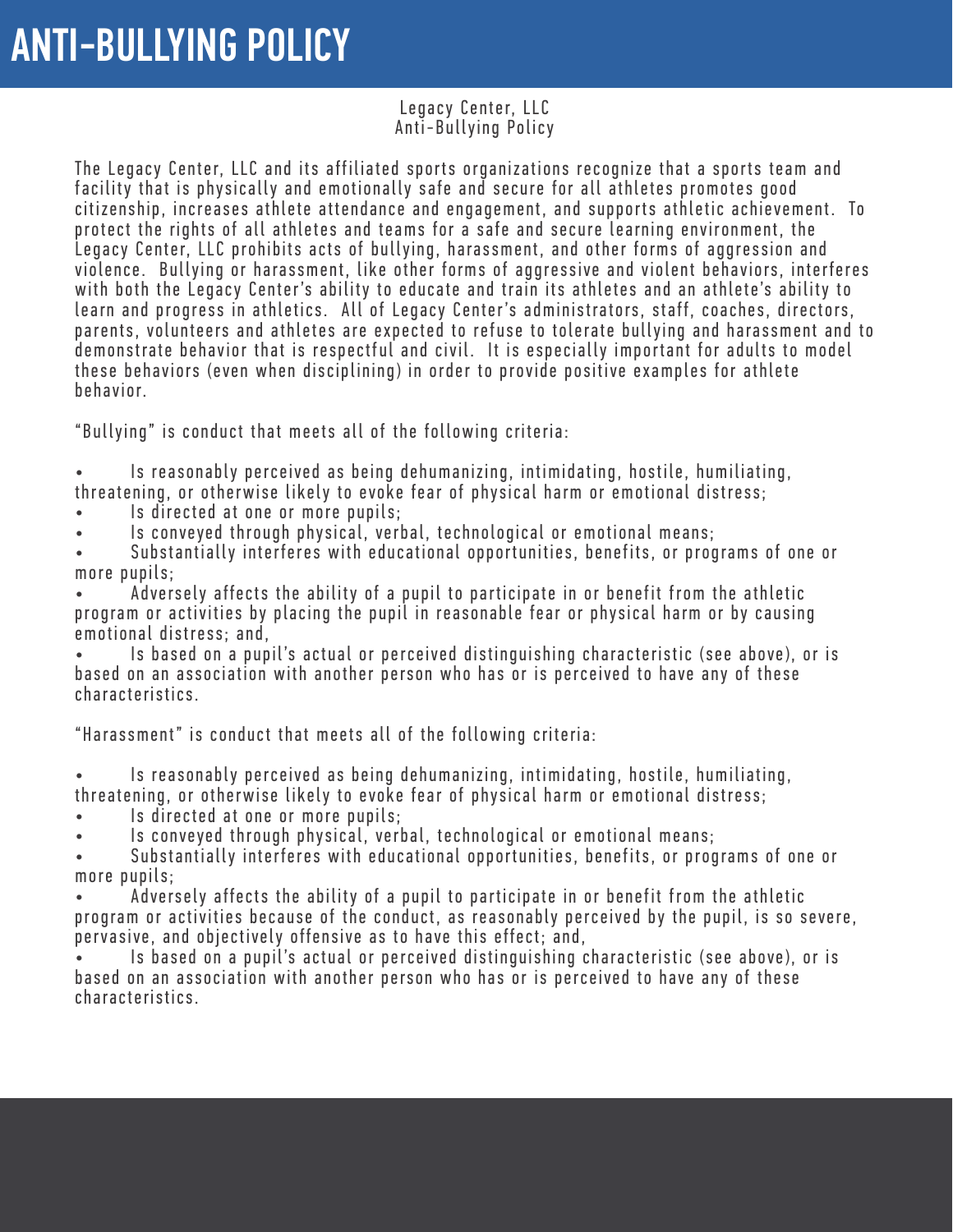### Legacy Center, LLC Anti-Bullying Policy

The Legacy Center, LLC and its affiliated sports organizations recognize that a sports team and facility that is physically and emotionally safe and secure for all athletes promotes good citizenship, increases athlete attendance and engagement, and supports athletic achievement. To protect the rights of all athletes and teams for a safe and secure learning environment, the Legacy Center, LLC prohibits acts of bullying, harassment, and other forms of aggression and violence. Bullying or harassment, like other forms of aggressive and violent behaviors, interferes with both the Legacy Center's ability to educate and train its athletes and an athlete's ability to learn and progress in athletics. All of Legacy Center's administrators, staff, coaches, directors, parents, volunteers and athletes are expected to refuse to tolerate bullying and harassment and to demonstrate behavior that is respectful and civil. It is especially important for adults to model these behaviors (even when disciplining) in order to provide positive examples for athlete behavior.

"Bullying" is conduct that meets all of the following criteria:

Is reasonably perceived as being dehumanizing, intimidating, hostile, humiliating, threatening, or otherwise likely to evoke fear of physical harm or emotional distress;

Is directed at one or more pupils;

Is conveved through physical, verbal, technological or emotional means:

Substantially interferes with educational opportunities, benefits, or programs of one or more pupils;

Adversely affects the ability of a pupil to participate in or benefit from the athletic program or activities by placing the pupil in reasonable fear or physical harm or by causing emotional distress; and,

Is based on a pupil's actual or perceived distinguishing characteristic (see above), or is based on an association with another person who has or is perceived to have any of these characteristics.

"Harassment" is conduct that meets all of the following criteria:

Is reasonably perceived as being dehumanizing, intimidating, hostile, humiliating, th reatening, or otherwise likely to evoke fear of physical harm or emotional distress;<br>• Is directed at one or more pupils:

Is conveyed through physical, verbal, technological or emotional means;

Substantially interferes with educational opportunities, benefits, or programs of one or more pupils;

Adversely affects the ability of a pupil to participate in or benefit from the athletic program or activities because of the conduct, as reasonably perceived by the pupil, is so severe, pervasive, and objectively offensive as to have this effect; and,

Is based on a pupil's actual or perceived distinguishing characteristic (see above), or is based on an association with another person who has or is perceived to have any of these characteristics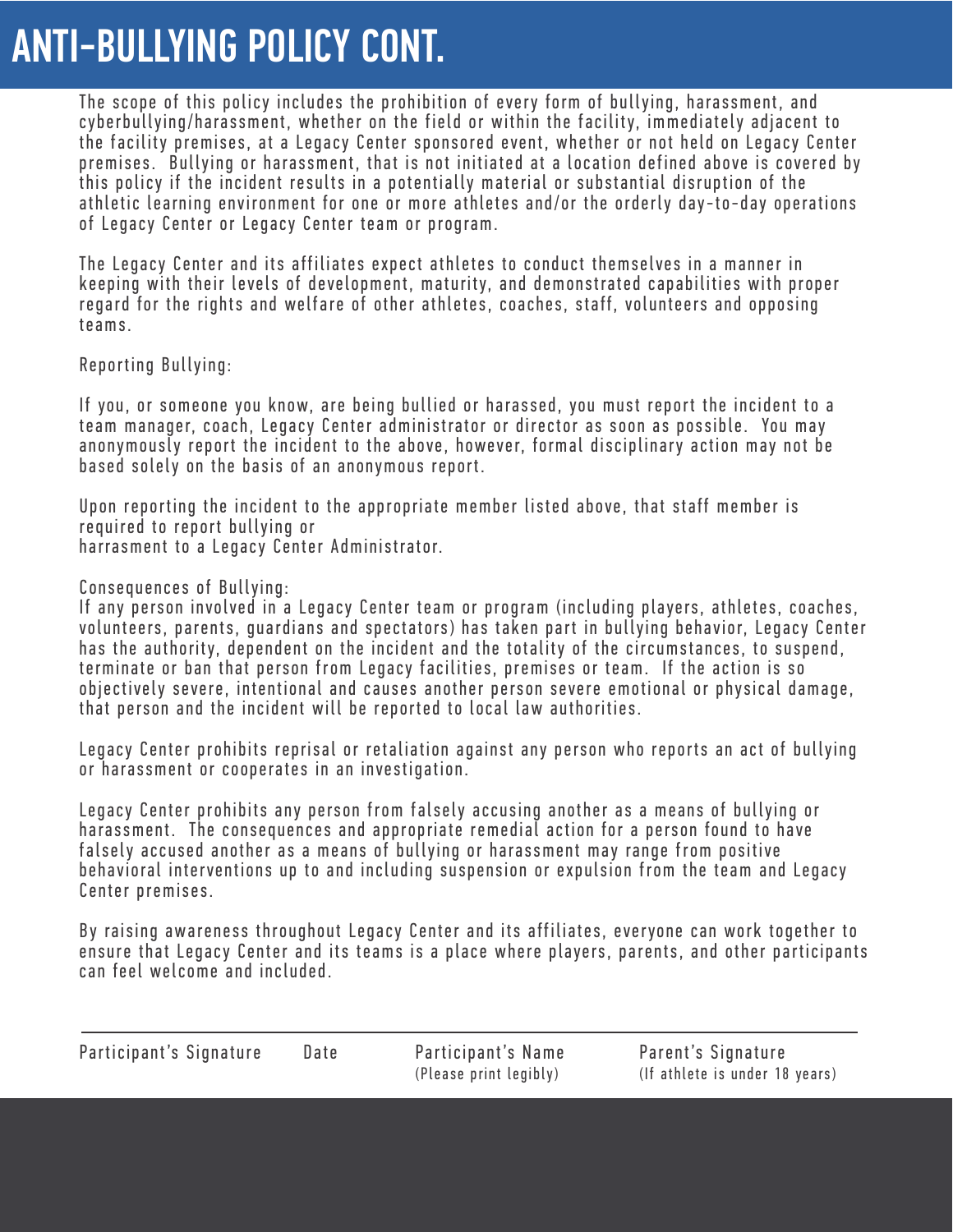## ANTI-BULLYING POLICY CONT.

The scope of this policy includes the prohibition of every form of bullying, harassment, and cyberbullying/harassment, whether on the field or within the facility, immediately adjacent to the facility premises, at a Legacy Center sponsored event, whether or not held on Legacy Center premises. Bullying or harassment, that is not initiated at a location defined above is covered by this policy if the incident results in a potentially material or substantial disruption of the athletic learning environment for one or more athletes and/or the orderly day-to-day operations of Legacy Center or Legacy Center team or program.

The Legacy Center and its affiliates expect athletes to conduct themselves in a manner in keeping with their levels of development, maturity, and demonstrated capabilities with proper regard for the rights and welfare of other athletes, coaches, staff, volunteers and opposing teams.

Reporting Bullying:

If you, or someone you know, are being bullied or harassed, you must report the incident to a team manager, coach, Legacy Center administrator or director as soon as possible. You may anonymously report the incident to the above, however, formal disciplinary action may not be based solely on the basis of an anonymous report.

Upon reporting the incident to the appropriate member listed above, that staff member is required to report bullying or harrasment to a Legacy Center Administrator.

Consequences of Bullying:

If any person involved in a Legacy Center team or program (including players, athletes, coaches, volunteers, parents, guardians and spectators) has taken part in bullving behavior, Legacy Center has the authority, dependent on the incident and the totality of the circumstances, to suspend, terminate or ban that person from Legacy facilities, premises or team. If the action is so obiectively severe, intentional and causes another person severe emotional or physical damage, that person and the incident will be reported to local law authorities.

Legacy Center prohibits reprisal or retaliation against any person who reports an act of bullying or harassment or cooperates in an investigation.

Legacy Center prohibits any person from falsely accusing another as a means of bullying or harassment. The consequences and appropriate remedial action for a person found to have falsely accused another as a means of bullying or harassment may range from positive behavioral interventions up to and including suspension or expulsion from the team and Legacy Center premises.

By raising awareness throughout Legacy Center and its affiliates, everyone can work together to ensure that Legacy Center and its teams is a place where players, parents, and other participants can feel welcome and included.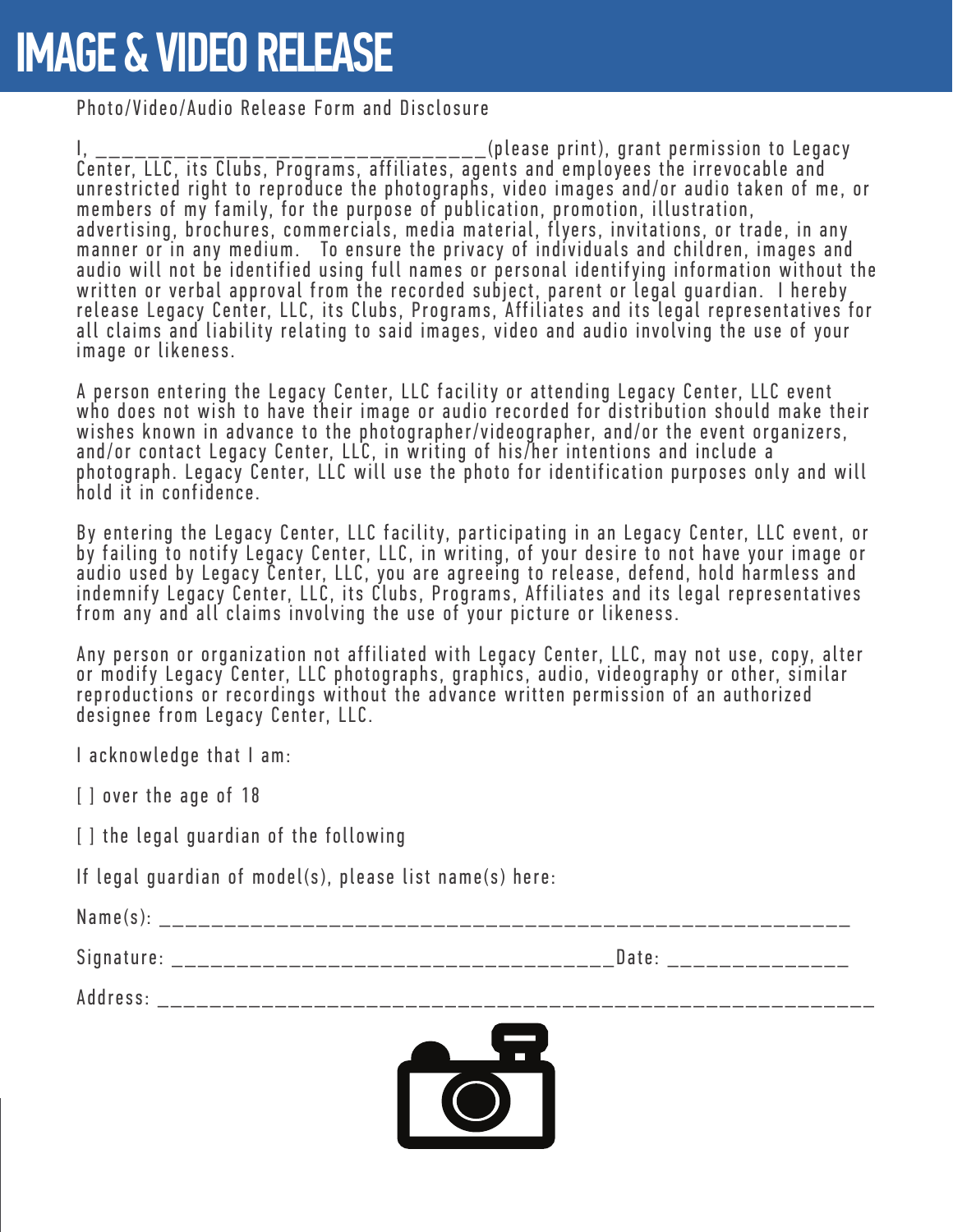# IMAGE & VIDEO RELEASE

Photo/Video/Audio Release Form and Disclosure

I , \_ \_ \_ \_ \_ \_ \_ \_ \_ \_ \_ \_ \_ \_ \_ \_ \_ \_ \_ \_ \_ \_ \_ \_ \_ \_ \_ \_ \_ \_ ( p l e a s e p ri n t ) , g ra n t p e rm i s s i o n t o L e g a c y Center, LLC, its Clubs, Programs, affiliates, agents and employees the irrevocable and unrestricted right to reproduce the photographs, video images and/or audio taken of me, or members of my family, for the purpose of publication, promotion, illustration, advertising, brochures, commercials, media material, flyers, invitations, or trade, in any manner or in any medium. To ensure the privacy of individuals and children, images and audio will not be identified using full names or personal identifying information without the written or verbal approval from the recorded subject, parent or legal guardian. I hereby release Legacy Center, LLC, its Clubs, Programs, Affiliates and its legal representatives for all claims and liability relating to said images, video and audio involving the use of your image or likeness.

A person entering the Legacy Center, LLC facility or attending Legacy Center, LLC event who does not wish to have their image or audio recorded for distribution should make their wishes known in advance to the photographer/videographer, and/or the event organizers, and/or contact Legacy Center, LLC, in writing of his/her intentions and include a photograph. Legacy Center, LLC will use the photo for identification purposes only and will hold it in confidence.

By entering the Legacy Center, LLC facility, participating in an Legacy Center, LLC event, or by failing to notify Legacy Center, LLC, in writing, of your desire to not have your image or audio used by Legacy Center, LLC, you are agreeing to release, defend, hold harmless and indemnify Legacy Center, LLC, its Clubs, Programs, Affiliates and its legal representatives from any and all claims involving the use of your picture or likeness.

Any person or organization not affiliated with Legacy Center, LLC, may not use, copy, alter or modify Legacy Center, LLC photographs, graphics, audio, videography or other, similar reproductions or recordings without the advance written permission of an authorized designee from Legacy Center, LLC.

I acknowledge that I am:

[ ] over the age of 18

[ ] the legal guardian of the following

If legal guardian of model(s), please list name(s) here:

Name(s): \_\_\_\_\_\_\_\_\_\_\_\_\_\_\_\_\_\_\_\_\_\_\_\_\_\_\_\_\_\_\_\_\_\_\_\_\_\_\_\_\_\_\_\_\_\_\_\_\_\_\_\_\_ Signature: \_\_\_\_\_\_\_\_\_\_\_\_\_\_\_\_\_\_\_\_\_\_\_\_\_\_\_\_\_\_\_\_\_\_Date: \_\_\_\_\_\_\_\_\_\_\_\_\_\_

Address: \_\_\_\_\_\_\_\_\_\_\_\_\_\_\_\_\_\_\_\_\_\_\_\_\_\_\_\_\_\_\_\_\_\_\_\_\_\_\_\_\_\_\_\_\_\_\_\_\_\_\_\_\_\_\_